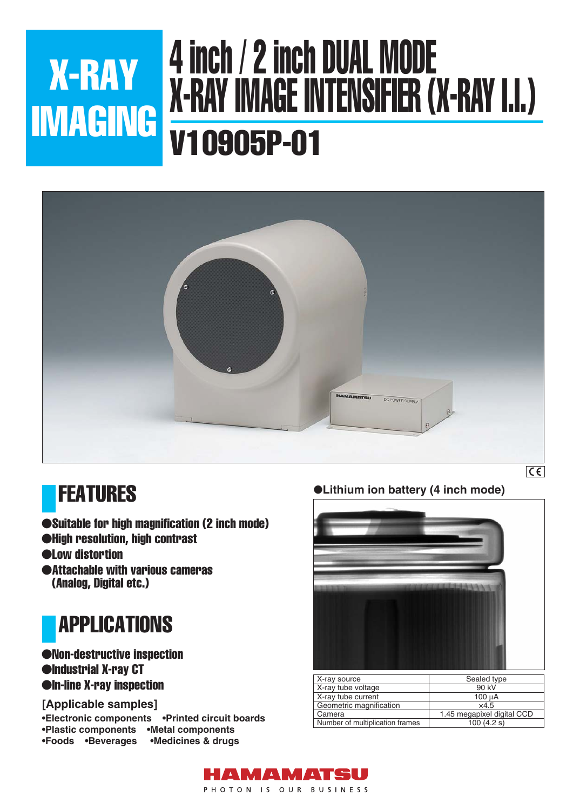## 4 inch / 2 inch DUAL MODE X-RAY IMAGE INTENSIFIER (X-RAY I.I.) V10905P-01 X-RAY IMAGING



### FEATURES

- ●Suitable for high magnification (2 inch mode)
- ●High resolution, high contrast
- ●Low distortion
- ●Attachable with various cameras (Analog, Digital etc.)



#### ●Non-destructive inspection ●Industrial X-ray CT ●In-line X-ray inspection

#### **[Applicable samples]**

**•Electronic components •Printed circuit boards •Plastic components •Metal components •Foods •Beverages •Medicines & drugs**

●**Lithium ion battery (4 inch mode)**



| X-ray source                    | Sealed type                |
|---------------------------------|----------------------------|
| X-ray tube voltage              | 90 kV                      |
| X-ray tube current              | $100 \mu A$                |
| Geometric magnification         | $\times$ 4.5               |
| Camera                          | 1.45 megapixel digital CCD |
| Number of multiplication frames | 100(4.2 s)                 |

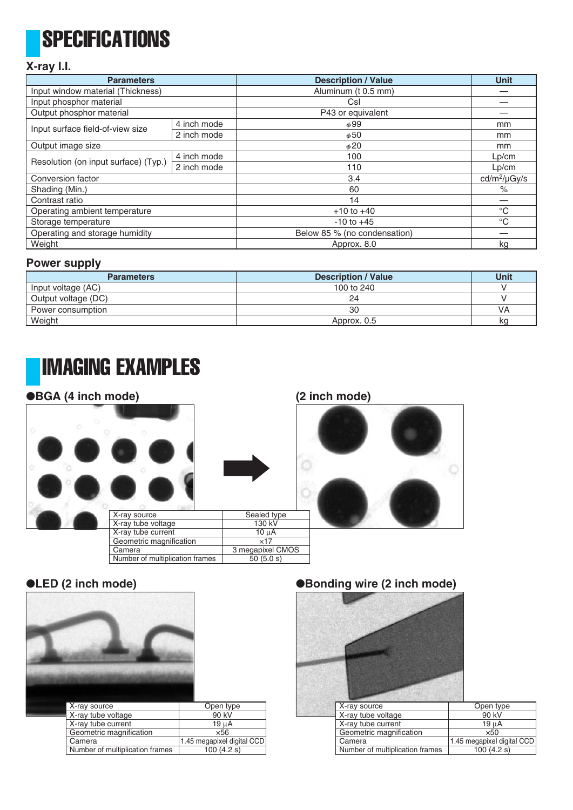# **SPECIFICATIONS**

#### **X-ray I.I.**

| <b>Parameters</b>                    |             | <b>Description / Value</b>   | <b>Unit</b>              |
|--------------------------------------|-------------|------------------------------|--------------------------|
| Input window material (Thickness)    |             | Aluminum (t 0.5 mm)          |                          |
| Input phosphor material              |             | Csl                          |                          |
| Output phosphor material             |             | P43 or equivalent            |                          |
| Input surface field-of-view size     | 4 inch mode | $\phi$ 99                    | mm                       |
|                                      | 2 inch mode | $\phi$ 50                    | mm                       |
| Output image size                    |             | $\phi$ 20                    | mm                       |
| Resolution (on input surface) (Typ.) | 4 inch mode | 100                          | Lp/cm                    |
|                                      | 2 inch mode | 110                          | Lp/cm                    |
| Conversion factor                    |             | 3.4                          | cd/m <sup>2</sup> /µGy/s |
| Shading (Min.)                       |             | 60                           | $\%$                     |
| Contrast ratio                       |             | 14                           |                          |
| Operating ambient temperature        |             | $+10$ to $+40$               | $^{\circ}C$              |
| Storage temperature                  |             | $-10$ to $+45$               | $^{\circ}C$              |
| Operating and storage humidity       |             | Below 85 % (no condensation) |                          |
| Weight                               |             | Approx. 8.0                  | kg                       |

#### **Power supply**

| <b>Parameters</b>   | <b>Description / Value</b> | <b>Unit</b> |
|---------------------|----------------------------|-------------|
| Input voltage (AC)  | 100 to 240                 |             |
| Output voltage (DC) | 24                         |             |
| Power consumption   | 30                         | VA          |
| Weight              | Approx. 0.5                | kq          |

### IMAGING EXAMPLES

#### ●**BGA (4 inch mode)**



#### **(2 inch mode)**



#### ●**LED (2 inch mode)**



#### ●**Bonding wire (2 inch mode)**



| X-ray source                    | Open type                  |
|---------------------------------|----------------------------|
| X-ray tube voltage              | 90 kV                      |
| X-ray tube current              | 19 µA                      |
| Geometric magnification         | $\times$ 50                |
| Camera                          | 1.45 megapixel digital CCD |
| Number of multiplication frames | 100(4.2 s)                 |
|                                 |                            |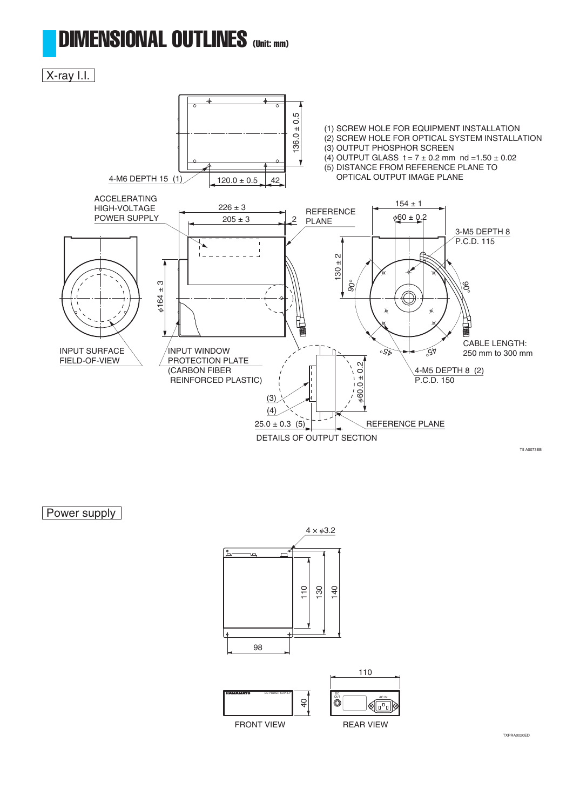### DIMENSIONAL OUTLINES (Unit: mm)

### X-ray I.I.



Power supply



TXPRA0020ED